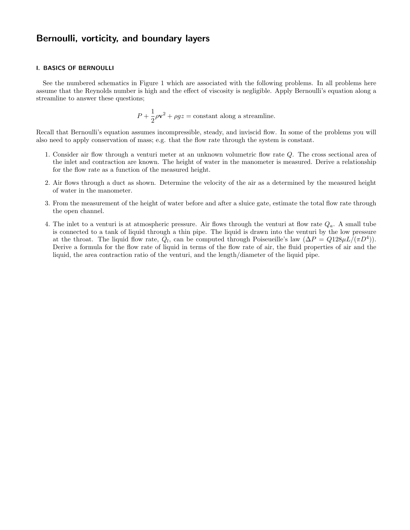# Bernoulli, vorticity, and boundary layers

### I. BASICS OF BERNOULLI

See the numbered schematics in Figure 1 which are associated with the following problems. In all problems here assume that the Reynolds number is high and the effect of viscosity is negligible. Apply Bernoulli's equation along a streamline to answer these questions;

$$
P + \frac{1}{2}\rho \mathbf{v}^2 + \rho gz = \text{constant along a streamline.}
$$

Recall that Bernoulli's equation assumes incompressible, steady, and inviscid flow. In some of the problems you will also need to apply conservation of mass; e.g. that the flow rate through the system is constant.

- 1. Consider air flow through a venturi meter at an unknown volumetric flow rate Q. The cross sectional area of the inlet and contraction are known. The height of water in the manometer is measured. Derive a relationship for the flow rate as a function of the measured height.
- 2. Air flows through a duct as shown. Determine the velocity of the air as a determined by the measured height of water in the manometer.
- 3. From the measurement of the height of water before and after a sluice gate, estimate the total flow rate through the open channel.
- 4. The inlet to a venturi is at atmospheric pressure. Air flows through the venturi at flow rate  $Q_a$ . A small tube is connected to a tank of liquid through a thin pipe. The liquid is drawn into the venturi by the low pressure at the throat. The liquid flow rate,  $Q_l$ , can be computed through Poiseueille's law  $(\Delta P = Q128\mu L/(\pi D^4))$ . Derive a formula for the flow rate of liquid in terms of the flow rate of air, the fluid properties of air and the liquid, the area contraction ratio of the venturi, and the length/diameter of the liquid pipe.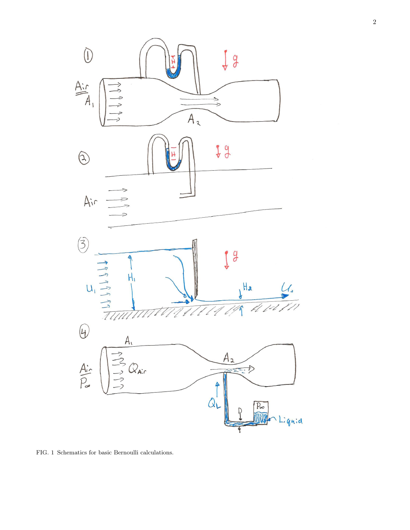

FIG. 1 Schematics for basic Bernoulli calculations.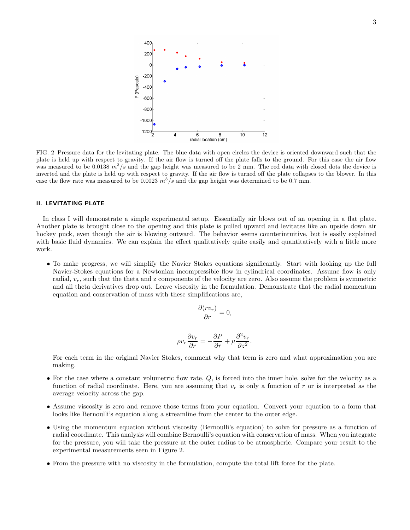

FIG. 2 Pressure data for the levitating plate. The blue data with open circles the device is oriented downward such that the plate is held up with respect to gravity. If the air flow is turned off the plate falls to the ground. For this case the air flow was measured to be 0.0138  $m^3/s$  and the gap height was measured to be 2 mm. The red data with closed dots the device is inverted and the plate is held up with respect to gravity. If the air flow is turned off the plate collapses to the blower. In this case the flow rate was measured to be 0.0023  $m^3/s$  and the gap height was determined to be 0.7 mm.

### II. LEVITATING PLATE

In class I will demonstrate a simple experimental setup. Essentially air blows out of an opening in a flat plate. Another plate is brought close to the opening and this plate is pulled upward and levitates like an upside down air hockey puck, even though the air is blowing outward. The behavior seems counterintuitive, but is easily explained with basic fluid dynamics. We can explain the effect qualitatively quite easily and quantitatively with a little more work.

• To make progress, we will simplify the Navier Stokes equations significantly. Start with looking up the full Navier-Stokes equations for a Newtonian incompressible flow in cylindrical coordinates. Assume flow is only radial,  $v_r$ , such that the theta and z components of the velocity are zero. Also assume the problem is symmetric and all theta derivatives drop out. Leave viscosity in the formulation. Demonstrate that the radial momentum equation and conservation of mass with these simplifications are,

$$
\frac{\partial (rv_r)}{\partial r} = 0,
$$

$$
\rho v_r \frac{\partial v_r}{\partial r} = -\frac{\partial P}{\partial r} + \mu \frac{\partial^2 v_r}{\partial z^2}.
$$

For each term in the original Navier Stokes, comment why that term is zero and what approximation you are making.

- For the case where a constant volumetric flow rate, Q, is forced into the inner hole, solve for the velocity as a function of radial coordinate. Here, you are assuming that  $v_r$  is only a function of r or is interpreted as the average velocity across the gap.
- Assume viscosity is zero and remove those terms from your equation. Convert your equation to a form that looks like Bernoulli's equation along a streamline from the center to the outer edge.
- Using the momentum equation without viscosity (Bernoulli's equation) to solve for pressure as a function of radial coordinate. This analysis will combine Bernoulli's equation with conservation of mass. When you integrate for the pressure, you will take the pressure at the outer radius to be atmospheric. Compare your result to the experimental measurements seen in Figure 2.
- From the pressure with no viscosity in the formulation, compute the total lift force for the plate.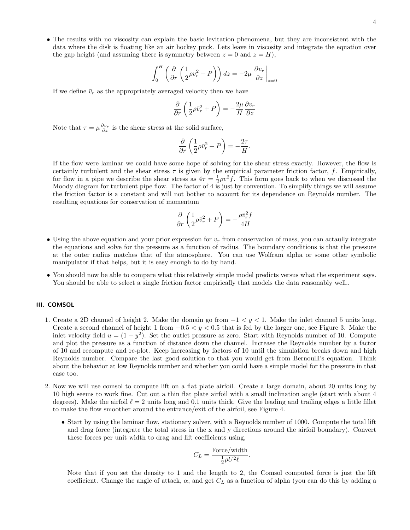• The results with no viscosity can explain the basic levitation phenomena, but they are inconsistent with the data where the disk is floating like an air hockey puck. Lets leave in viscosity and integrate the equation over the gap height (and assuming there is symmetry between  $z = 0$  and  $z = H$ ),

$$
\int_0^H \left( \frac{\partial}{\partial r} \left( \frac{1}{2} \rho v_r^2 + P \right) \right) dz = -2\mu \left. \frac{\partial v_r}{\partial z} \right|_{z=0}
$$

If we define  $\bar{v}_r$  as the appropriately averaged velocity then we have

$$
\frac{\partial}{\partial r}\left(\frac{1}{2}\rho\bar{v}_r^2 + P\right) = -\frac{2\mu}{H}\frac{\partial v_r}{\partial z}
$$

Note that  $\tau = \mu \frac{\partial v_r}{\partial z}$  is the shear stress at the solid surface,

$$
\frac{\partial}{\partial r}\left(\frac{1}{2}\rho\bar{v}_r^2 + P\right) = -\frac{2\tau}{H}.
$$

If the flow were laminar we could have some hope of solving for the shear stress exactly. However, the flow is certainly turbulent and the shear stress  $\tau$  is given by the empirical parameter friction factor, f. Empirically, for flow in a pipe we describe the shear stress as  $4\tau = \frac{1}{2}\rho v^2 f$ . This form goes back to when we discussed the Moody diagram for turbulent pipe flow. The factor of 4 is just by convention. To simplify things we will assume the friction factor is a constant and will not bother to account for its dependence on Reynolds number. The resulting equations for conservation of momentum

$$
\frac{\partial}{\partial r}\left(\frac{1}{2}\rho\bar{v}_r^2 + P\right) = -\frac{\rho\bar{v}_r^2 f}{4H}
$$

- Using the above equation and your prior expression for  $v_r$  from conservation of mass, you can actaully integrate the equations and solve for the pressure as a function of radius. The boundary conditions is that the pressure at the outer radius matches that of the atmosphere. You can use Wolfram alpha or some other symbolic manipulator if that helps, but it is easy enough to do by hand.
- You should now be able to compare what this relatively simple model predicts versus what the experiment says. You should be able to select a single friction factor empirically that models the data reasonably well..

# III. COMSOL

- 1. Create a 2D channel of height 2. Make the domain go from  $-1 < y < 1$ . Make the inlet channel 5 units long. Create a second channel of height 1 from  $-0.5 < y < 0.5$  that is fed by the larger one, see Figure 3. Make the inlet velocity field  $u = (1 - y^2)$ . Set the outlet pressure as zero. Start with Reynolds number of 10. Compute and plot the pressure as a function of distance down the channel. Increase the Reynolds number by a factor of 10 and recompute and re-plot. Keep increasing by factors of 10 until the simulation breaks down and high Reynolds number. Compare the last good solution to that you would get from Bernoulli's equation. Think about the behavior at low Reynolds number and whether you could have a simple model for the pressure in that case too.
- 2. Now we will use comsol to compute lift on a flat plate airfoil. Create a large domain, about 20 units long by 10 high seems to work fine. Cut out a thin flat plate airfoil with a small inclination angle (start with about 4 degrees). Make the airfoil  $\ell = 2$  units long and 0.1 units thick. Give the leading and trailing edges a little fillet to make the flow smoother around the entrance/exit of the airfoil, see Figure 4.
	- Start by using the laminar flow, stationary solver, with a Reynolds number of 1000. Compute the total lift and drag force (integrate the total stress in the x and y directions around the airfoil boundary). Convert these forces per unit width to drag and lift coefficients using,

$$
C_L = \frac{\text{Force}/\text{width}}{\frac{1}{2}\rho U^2 \ell}.
$$

Note that if you set the density to 1 and the length to 2, the Comsol computed force is just the lift coefficient. Change the angle of attack,  $\alpha$ , and get  $C<sub>L</sub>$  as a function of alpha (you can do this by adding a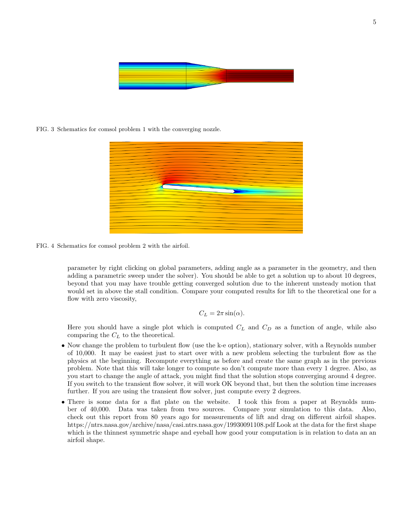

FIG. 3 Schematics for comsol problem 1 with the converging nozzle.



FIG. 4 Schematics for comsol problem 2 with the airfoil.

parameter by right clicking on global parameters, adding angle as a parameter in the geometry, and then adding a parametric sweep under the solver). You should be able to get a solution up to about 10 degrees, beyond that you may have trouble getting converged solution due to the inherent unsteady motion that would set in above the stall condition. Compare your computed results for lift to the theoretical one for a flow with zero viscosity,

$$
C_L = 2\pi \sin(\alpha).
$$

Here you should have a single plot which is computed  $C<sub>L</sub>$  and  $C<sub>D</sub>$  as a function of angle, while also comparing the  $C_L$  to the theoretical.

- Now change the problem to turbulent flow (use the k-e option), stationary solver, with a Reynolds number of 10,000. It may be easiest just to start over with a new problem selecting the turbulent flow as the physics at the beginning. Recompute everything as before and create the same graph as in the previous problem. Note that this will take longer to compute so don't compute more than every 1 degree. Also, as you start to change the angle of attack, you might find that the solution stops converging around 4 degree. If you switch to the transient flow solver, it will work OK beyond that, but then the solution time increases further. If you are using the transient flow solver, just compute every 2 degrees.
- There is some data for a flat plate on the website. I took this from a paper at Reynolds number of 40,000. Data was taken from two sources. Compare your simulation to this data. Also, check out this report from 80 years ago for measurements of lift and drag on different airfoil shapes. https://ntrs.nasa.gov/archive/nasa/casi.ntrs.nasa.gov/19930091108.pdf Look at the data for the first shape which is the thinnest symmetric shape and eyeball how good your computation is in relation to data an an airfoil shape.